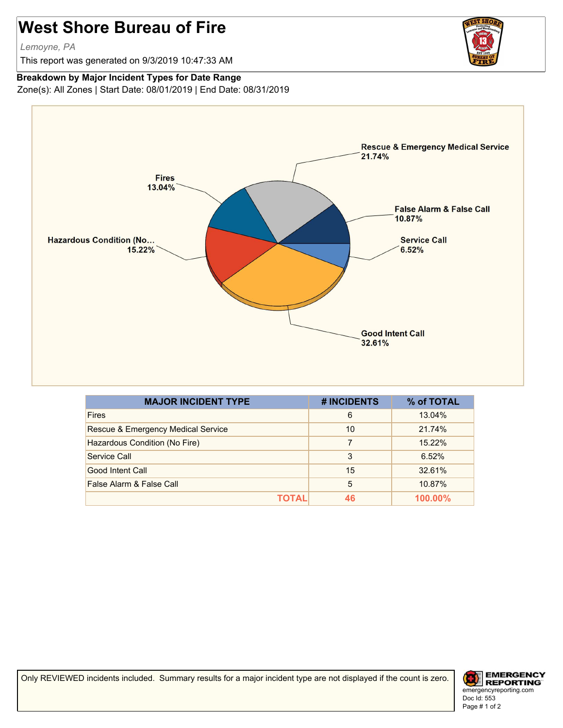## **West Shore Bureau of Fire**

*Lemoyne, PA*

This report was generated on 9/3/2019 10:47:33 AM

## **Breakdown by Major Incident Types for Date Range**

Zone(s): All Zones | Start Date: 08/01/2019 | End Date: 08/31/2019



| <b>MAJOR INCIDENT TYPE</b>         | # INCIDENTS | % of TOTAL |
|------------------------------------|-------------|------------|
| <b>Fires</b>                       | 6           | 13.04%     |
| Rescue & Emergency Medical Service | 10          | 21.74%     |
| Hazardous Condition (No Fire)      | 7           | 15.22%     |
| Service Call                       | 3           | 6.52%      |
| Good Intent Call                   | 15          | 32.61%     |
| False Alarm & False Call           | 5           | 10.87%     |
| ΤΩΤΑΙ                              | 46          | $100.00\%$ |

Only REVIEWED incidents included. Summary results for a major incident type are not displayed if the count is zero.